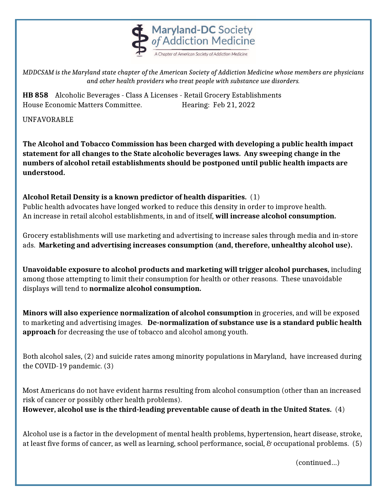

*MDDCSAM is the Maryland state chapter of the American Society of Addiction Medicine whose members are physicians and other health providers who treat people with substance use disorders.*

**HB 858** Alcoholic Beverages - Class A Licenses - Retail Grocery Establishments House Economic Matters Committee. Hearing: Feb 21, 2022

UNFAVORABLE

**The Alcohol and Tobacco Commission has been charged with developing a public health impact statement for all changes to the State alcoholic beverages laws. Any sweeping change in the numbers of alcohol retail establishments should be postponed until public health impacts are understood.**

**Alcohol Retail Density is a known predictor of health disparities.** (1) Public health advocates have longed worked to reduce this density in order to improve health. An increase in retail alcohol establishments, in and of itself, **will increase alcohol consumption.**

Grocery establishments will use marketing and advertising to increase sales through media and in-store ads. **Marketing and advertising increases consumption (and, therefore, unhealthy alcohol use).**

**Unavoidable exposure to alcohol products and marketing will trigger alcohol purchases,** including among those attempting to limit their consumption for health or other reasons. These unavoidable displays will tend to **normalize alcohol consumption.**

**Minors will also experience normalization of alcohol consumption** in groceries, and will be exposed to marketing and advertising images. **De-normalization of substance use is a standard public health approach** for decreasing the use of tobacco and alcohol among youth.

Both alcohol sales, (2) and suicide rates among minority populations in Maryland, have increased during the COVID-19 pandemic. (3)

Most Americans do not have evident harms resulting from alcohol consumption (other than an increased risk of cancer or possibly other health problems).

**However, alcohol use is the third-leading preventable cause of death in the United States.** (4)

Alcohol use is a factor in the development of mental health problems, hypertension, heart disease, stroke, at least five forms of cancer, as well as learning, school performance, social, & occupational problems. (5)

(continued…)